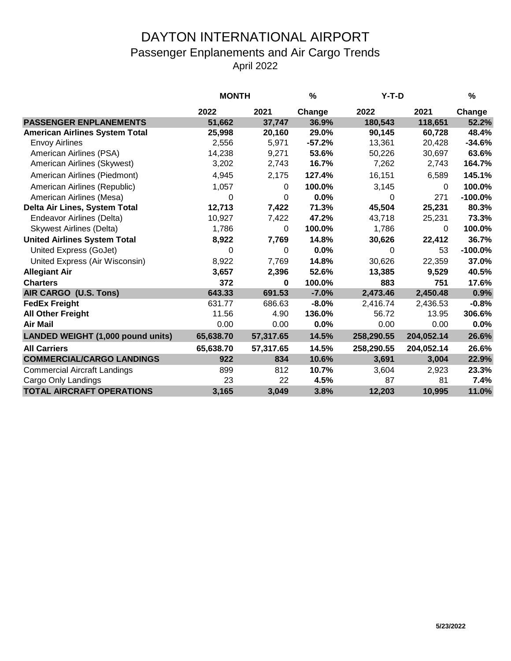## DAYTON INTERNATIONAL AIRPORT Passenger Enplanements and Air Cargo Trends April 2022

|                                       | <b>MONTH</b> |           | %        | $Y-T-D$    |            | $\%$      |
|---------------------------------------|--------------|-----------|----------|------------|------------|-----------|
|                                       | 2022         | 2021      | Change   | 2022       | 2021       | Change    |
| <b>PASSENGER ENPLANEMENTS</b>         | 51,662       | 37,747    | 36.9%    | 180,543    | 118,651    | 52.2%     |
| <b>American Airlines System Total</b> | 25,998       | 20,160    | 29.0%    | 90,145     | 60,728     | 48.4%     |
| <b>Envoy Airlines</b>                 | 2,556        | 5,971     | $-57.2%$ | 13,361     | 20,428     | $-34.6%$  |
| American Airlines (PSA)               | 14,238       | 9,271     | 53.6%    | 50,226     | 30,697     | 63.6%     |
| American Airlines (Skywest)           | 3,202        | 2,743     | 16.7%    | 7,262      | 2,743      | 164.7%    |
| American Airlines (Piedmont)          | 4,945        | 2,175     | 127.4%   | 16,151     | 6,589      | 145.1%    |
| American Airlines (Republic)          | 1,057        | $\Omega$  | 100.0%   | 3,145      | $\Omega$   | 100.0%    |
| American Airlines (Mesa)              | 0            | 0         | 0.0%     | 0          | 271        | $-100.0%$ |
| Delta Air Lines, System Total         | 12,713       | 7,422     | 71.3%    | 45,504     | 25,231     | 80.3%     |
| Endeavor Airlines (Delta)             | 10,927       | 7,422     | 47.2%    | 43,718     | 25,231     | 73.3%     |
| <b>Skywest Airlines (Delta)</b>       | 1,786        | 0         | 100.0%   | 1,786      | 0          | 100.0%    |
| <b>United Airlines System Total</b>   | 8,922        | 7,769     | 14.8%    | 30,626     | 22,412     | 36.7%     |
| United Express (GoJet)                | 0            | 0         | 0.0%     | 0          | 53         | $-100.0%$ |
| United Express (Air Wisconsin)        | 8,922        | 7,769     | 14.8%    | 30,626     | 22,359     | 37.0%     |
| <b>Allegiant Air</b>                  | 3,657        | 2,396     | 52.6%    | 13,385     | 9,529      | 40.5%     |
| <b>Charters</b>                       | 372          | $\bf{0}$  | 100.0%   | 883        | 751        | 17.6%     |
| AIR CARGO (U.S. Tons)                 | 643.33       | 691.53    | $-7.0%$  | 2,473.46   | 2,450.48   | 0.9%      |
| <b>FedEx Freight</b>                  | 631.77       | 686.63    | $-8.0%$  | 2,416.74   | 2,436.53   | $-0.8%$   |
| <b>All Other Freight</b>              | 11.56        | 4.90      | 136.0%   | 56.72      | 13.95      | 306.6%    |
| <b>Air Mail</b>                       | 0.00         | 0.00      | 0.0%     | 0.00       | 0.00       | 0.0%      |
| LANDED WEIGHT (1,000 pound units)     | 65,638.70    | 57,317.65 | 14.5%    | 258,290.55 | 204,052.14 | 26.6%     |
| <b>All Carriers</b>                   | 65,638.70    | 57,317.65 | 14.5%    | 258,290.55 | 204,052.14 | 26.6%     |
| <b>COMMERCIAL/CARGO LANDINGS</b>      | 922          | 834       | 10.6%    | 3,691      | 3,004      | 22.9%     |
| <b>Commercial Aircraft Landings</b>   | 899          | 812       | 10.7%    | 3,604      | 2,923      | 23.3%     |
| Cargo Only Landings                   | 23           | 22        | 4.5%     | 87         | 81         | 7.4%      |
| <b>TOTAL AIRCRAFT OPERATIONS</b>      | 3,165        | 3,049     | 3.8%     | 12,203     | 10,995     | 11.0%     |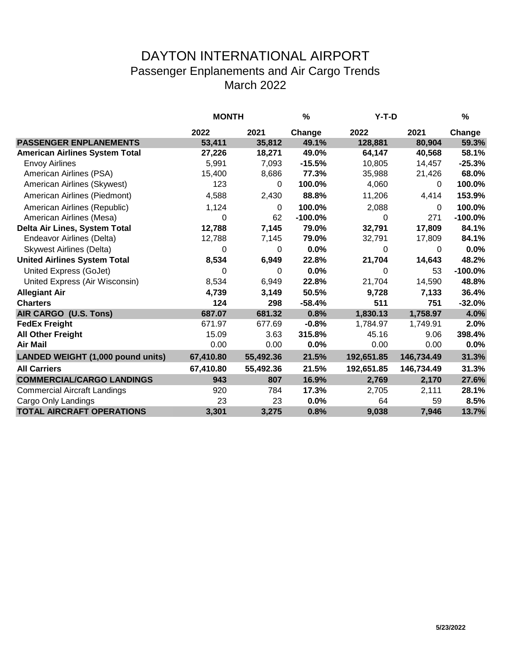## DAYTON INTERNATIONAL AIRPORT Passenger Enplanements and Air Cargo Trends March 2022

|                                          | <b>MONTH</b> |           | %         | Y-T-D      |            | %          |
|------------------------------------------|--------------|-----------|-----------|------------|------------|------------|
|                                          | 2022         | 2021      | Change    | 2022       | 2021       | Change     |
| <b>PASSENGER ENPLANEMENTS</b>            | 53,411       | 35,812    | 49.1%     | 128,881    | 80,904     | 59.3%      |
| <b>American Airlines System Total</b>    | 27,226       | 18,271    | 49.0%     | 64,147     | 40,568     | 58.1%      |
| <b>Envoy Airlines</b>                    | 5,991        | 7,093     | $-15.5%$  | 10,805     | 14,457     | $-25.3%$   |
| American Airlines (PSA)                  | 15,400       | 8,686     | 77.3%     | 35,988     | 21,426     | 68.0%      |
| American Airlines (Skywest)              | 123          | 0         | 100.0%    | 4,060      | 0          | 100.0%     |
| American Airlines (Piedmont)             | 4,588        | 2,430     | 88.8%     | 11,206     | 4,414      | 153.9%     |
| American Airlines (Republic)             | 1,124        | $\Omega$  | 100.0%    | 2,088      | 0          | 100.0%     |
| American Airlines (Mesa)                 | 0            | 62        | $-100.0%$ | 0          | 271        | $-100.0\%$ |
| Delta Air Lines, System Total            | 12,788       | 7,145     | 79.0%     | 32,791     | 17,809     | 84.1%      |
| Endeavor Airlines (Delta)                | 12,788       | 7,145     | 79.0%     | 32,791     | 17,809     | 84.1%      |
| <b>Skywest Airlines (Delta)</b>          | 0            | 0         | 0.0%      | 0          | 0          | 0.0%       |
| <b>United Airlines System Total</b>      | 8,534        | 6,949     | 22.8%     | 21,704     | 14,643     | 48.2%      |
| United Express (GoJet)                   | 0            | $\Omega$  | 0.0%      | 0          | 53         | $-100.0%$  |
| United Express (Air Wisconsin)           | 8,534        | 6,949     | 22.8%     | 21,704     | 14,590     | 48.8%      |
| <b>Allegiant Air</b>                     | 4,739        | 3,149     | 50.5%     | 9,728      | 7,133      | 36.4%      |
| <b>Charters</b>                          | 124          | 298       | $-58.4%$  | 511        | 751        | $-32.0%$   |
| AIR CARGO (U.S. Tons)                    | 687.07       | 681.32    | 0.8%      | 1,830.13   | 1,758.97   | 4.0%       |
| <b>FedEx Freight</b>                     | 671.97       | 677.69    | $-0.8%$   | 1,784.97   | 1,749.91   | 2.0%       |
| <b>All Other Freight</b>                 | 15.09        | 3.63      | 315.8%    | 45.16      | 9.06       | 398.4%     |
| <b>Air Mail</b>                          | 0.00         | 0.00      | 0.0%      | 0.00       | 0.00       | 0.0%       |
| <b>LANDED WEIGHT (1,000 pound units)</b> | 67,410.80    | 55,492.36 | 21.5%     | 192,651.85 | 146,734.49 | 31.3%      |
| <b>All Carriers</b>                      | 67,410.80    | 55,492.36 | 21.5%     | 192,651.85 | 146,734.49 | 31.3%      |
| <b>COMMERCIAL/CARGO LANDINGS</b>         | 943          | 807       | 16.9%     | 2,769      | 2,170      | 27.6%      |
| <b>Commercial Aircraft Landings</b>      | 920          | 784       | 17.3%     | 2,705      | 2,111      | 28.1%      |
| Cargo Only Landings                      | 23           | 23        | 0.0%      | 64         | 59         | 8.5%       |
| <b>TOTAL AIRCRAFT OPERATIONS</b>         | 3,301        | 3,275     | 0.8%      | 9,038      | 7,946      | 13.7%      |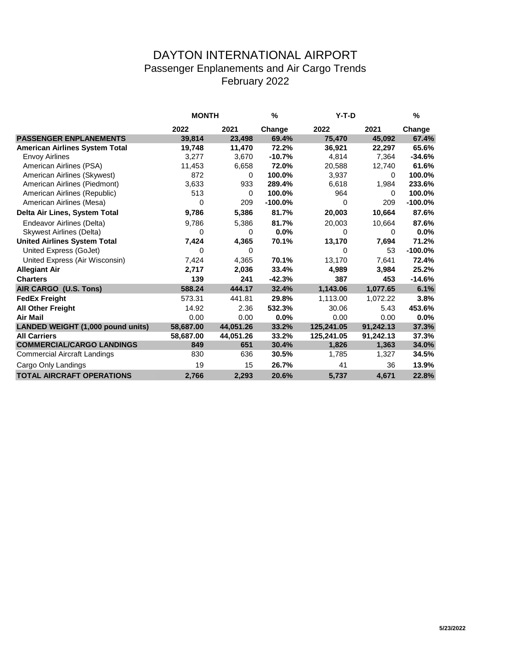## DAYTON INTERNATIONAL AIRPORT Passenger Enplanements and Air Cargo Trends February 2022

|                                       | <b>MONTH</b> |              | $\%$      | $Y-T-D$    |           | %         |
|---------------------------------------|--------------|--------------|-----------|------------|-----------|-----------|
|                                       | 2022         | 2021         | Change    | 2022       | 2021      | Change    |
| <b>PASSENGER ENPLANEMENTS</b>         | 39,814       | 23,498       | 69.4%     | 75,470     | 45,092    | 67.4%     |
| <b>American Airlines System Total</b> | 19,748       | 11,470       | 72.2%     | 36,921     | 22,297    | 65.6%     |
| <b>Envoy Airlines</b>                 | 3,277        | 3,670        | $-10.7%$  | 4,814      | 7,364     | $-34.6%$  |
| American Airlines (PSA)               | 11,453       | 6,658        | 72.0%     | 20,588     | 12,740    | 61.6%     |
| American Airlines (Skywest)           | 872          | 0            | 100.0%    | 3,937      | $\Omega$  | 100.0%    |
| American Airlines (Piedmont)          | 3,633        | 933          | 289.4%    | 6,618      | 1,984     | 233.6%    |
| American Airlines (Republic)          | 513          | $\mathbf{0}$ | 100.0%    | 964        | 0         | 100.0%    |
| American Airlines (Mesa)              | 0            | 209          | $-100.0%$ | $\Omega$   | 209       | $-100.0%$ |
| Delta Air Lines, System Total         | 9,786        | 5,386        | 81.7%     | 20,003     | 10,664    | 87.6%     |
| Endeavor Airlines (Delta)             | 9,786        | 5,386        | 81.7%     | 20,003     | 10,664    | 87.6%     |
| <b>Skywest Airlines (Delta)</b>       | 0            | 0            | 0.0%      | 0          | 0         | 0.0%      |
| <b>United Airlines System Total</b>   | 7,424        | 4,365        | 70.1%     | 13,170     | 7,694     | 71.2%     |
| United Express (GoJet)                | 0            | 0            |           | $\Omega$   | 53        | $-100.0%$ |
| United Express (Air Wisconsin)        | 7,424        | 4,365        | 70.1%     | 13,170     | 7,641     | 72.4%     |
| <b>Allegiant Air</b>                  | 2,717        | 2,036        | 33.4%     | 4,989      | 3,984     | 25.2%     |
| <b>Charters</b>                       | 139          | 241          | $-42.3%$  | 387        | 453       | $-14.6%$  |
| AIR CARGO (U.S. Tons)                 | 588.24       | 444.17       | 32.4%     | 1,143.06   | 1,077.65  | 6.1%      |
| <b>FedEx Freight</b>                  | 573.31       | 441.81       | 29.8%     | 1,113.00   | 1,072.22  | 3.8%      |
| <b>All Other Freight</b>              | 14.92        | 2.36         | 532.3%    | 30.06      | 5.43      | 453.6%    |
| <b>Air Mail</b>                       | 0.00         | 0.00         | 0.0%      | 0.00       | 0.00      | 0.0%      |
| LANDED WEIGHT (1,000 pound units)     | 58,687.00    | 44,051.26    | 33.2%     | 125,241.05 | 91,242.13 | 37.3%     |
| <b>All Carriers</b>                   | 58,687.00    | 44,051.26    | 33.2%     | 125,241.05 | 91,242.13 | 37.3%     |
| <b>COMMERCIAL/CARGO LANDINGS</b>      | 849          | 651          | 30.4%     | 1,826      | 1,363     | 34.0%     |
| <b>Commercial Aircraft Landings</b>   | 830          | 636          | 30.5%     | 1,785      | 1,327     | 34.5%     |
| Cargo Only Landings                   | 19           | 15           | 26.7%     | 41         | 36        | 13.9%     |
| <b>TOTAL AIRCRAFT OPERATIONS</b>      | 2,766        | 2,293        | 20.6%     | 5,737      | 4,671     | 22.8%     |